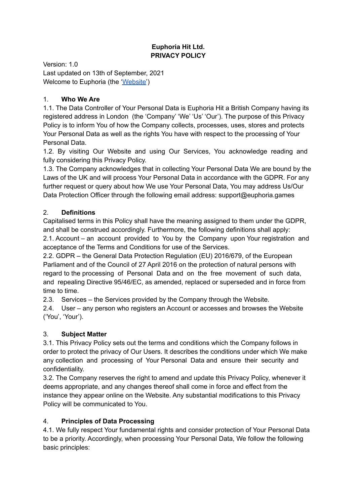#### **Euphoria Hit Ltd. PRIVACY POLICY**

Version: 1.0 Last updated on 13th of September, 2021 Welcome to Euphoria (the ['Website'](http://euphoria.games))

### 1. **Who We Are**

1.1. The Data Controller of Your Personal Data is Euphoria Hit a British Company having its registered address in London (the 'Company' 'We' 'Us' 'Our'). The purpose of this Privacy Policy is to inform You of how the Company collects, processes, uses, stores and protects Your Personal Data as well as the rights You have with respect to the processing of Your Personal Data.

1.2. By visiting Our Website and using Our Services, You acknowledge reading and fully considering this Privacy Policy.

1.3. The Company acknowledges that in collecting Your Personal Data We are bound by the Laws of the UK and will process Your Personal Data in accordance with the GDPR. For any further request or query about how We use Your Personal Data, You may address Us/Our Data Protection Officer through the following email address: support@euphoria.games

### 2. **Definitions**

Capitalised terms in this Policy shall have the meaning assigned to them under the GDPR, and shall be construed accordingly. Furthermore, the following definitions shall apply: 2.1. Account – an account provided to You by the Company upon Your registration and acceptance of the Terms and Conditions for use of the Services.

2.2. GDPR – the General Data Protection Regulation (EU) 2016/679, of the European Parliament and of the Council of 27 April 2016 on the protection of natural persons with regard to the processing of Personal Data and on the free movement of such data, and repealing Directive 95/46/EC, as amended, replaced or superseded and in force from time to time.

2.3. Services – the Services provided by the Company through the Website.

2.4. User – any person who registers an Account or accesses and browses the Website ('You', 'Your').

# 3. **Subject Matter**

3.1. This Privacy Policy sets out the terms and conditions which the Company follows in order to protect the privacy of Our Users. It describes the conditions under which We make any collection and processing of Your Personal Data and ensure their security and confidentiality.

3.2. The Company reserves the right to amend and update this Privacy Policy, whenever it deems appropriate, and any changes thereof shall come in force and effect from the instance they appear online on the Website. Any substantial modifications to this Privacy Policy will be communicated to You.

### 4. **Principles of Data Processing**

4.1. We fully respect Your fundamental rights and consider protection of Your Personal Data to be a priority. Accordingly, when processing Your Personal Data, We follow the following basic principles: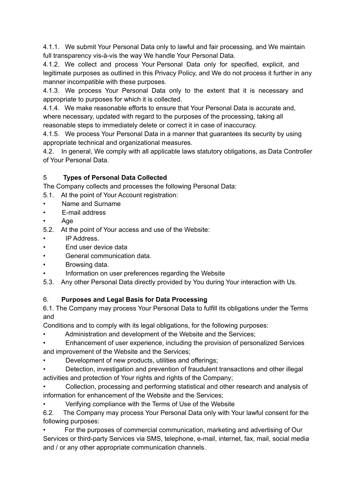4.1.1. We submit Your Personal Data only to lawful and fair processing, and We maintain full transparency vis-à-vis the way We handle Your Personal Data.

4.1.2. We collect and process Your Personal Data only for specified, explicit, and legitimate purposes as outlined in this Privacy Policy, and We do not process it further in any manner incompatible with these purposes.

4.1.3. We process Your Personal Data only to the extent that it is necessary and appropriate to purposes for which it is collected.

4.1.4. We make reasonable efforts to ensure that Your Personal Data is accurate and, where necessary, updated with regard to the purposes of the processing, taking all reasonable steps to immediately delete or correct it in case of inaccuracy.

4.1.5. We process Your Personal Data in a manner that guarantees its security by using appropriate technical and organizational measures.

4.2. In general, We comply with all applicable laws statutory obligations, as Data Controller of Your Personal Data.

## 5 **Types of Personal Data Collected**

The Company collects and processes the following Personal Data:

5.1. At the point of Your Account registration:

- Name and Surname
- E-mail address
- Age
- 5.2. At the point of Your access and use of the Website:
- IP Address.
- End user device data
- General communication data.
- Browsing data.
- Information on user preferences regarding the Website
- 5.3. Any other Personal Data directly provided by You during Your interaction with Us.

# 6. **Purposes and Legal Basis for Data Processing**

6.1. The Company may process Your Personal Data to fulfill its obligations under the Terms and

Conditions and to comply with its legal obligations, for the following purposes:

• Administration and development of the Website and the Services;

• Enhancement of user experience, including the provision of personalized Services and improvement of the Website and the Services;

- Development of new products, utilities and offerings;
- Detection, investigation and prevention of fraudulent transactions and other illegal activities and protection of Your rights and rights of the Company;
- Collection, processing and performing statistical and other research and analysis of information for enhancement of the Website and the Services;
- Verifying compliance with the Terms of Use of the Website

6.2. The Company may process Your Personal Data only with Your lawful consent for the following purposes:

• For the purposes of commercial communication, marketing and advertising of Our Services or third-party Services via SMS, telephone, e-mail, internet, fax, mail, social media and / or any other appropriate communication channels.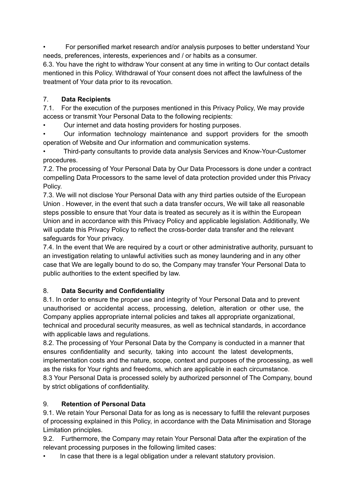• For personified market research and/or analysis purposes to better understand Your needs, preferences, interests, experiences and / or habits as a consumer.

6.3. You have the right to withdraw Your consent at any time in writing to Our contact details mentioned in this Policy. Withdrawal of Your consent does not affect the lawfulness of the treatment of Your data prior to its revocation.

## 7. **Data Recipients**

7.1. For the execution of the purposes mentioned in this Privacy Policy, We may provide access or transmit Your Personal Data to the following recipients:

• Our internet and data hosting providers for hosting purposes.

• Our information technology maintenance and support providers for the smooth operation of Website and Our information and communication systems.

• Third-party consultants to provide data analysis Services and Know-Your-Customer procedures.

7.2. The processing of Your Personal Data by Our Data Processors is done under a contract compelling Data Processors to the same level of data protection provided under this Privacy Policy.

7.3. We will not disclose Your Personal Data with any third parties outside of the European Union . However, in the event that such a data transfer occurs, We will take all reasonable steps possible to ensure that Your data is treated as securely as it is within the European Union and in accordance with this Privacy Policy and applicable legislation. Additionally, We will update this Privacy Policy to reflect the cross-border data transfer and the relevant safeguards for Your privacy.

7.4. In the event that We are required by a court or other administrative authority, pursuant to an investigation relating to unlawful activities such as money laundering and in any other case that We are legally bound to do so, the Company may transfer Your Personal Data to public authorities to the extent specified by law.

### 8. **Data Security and Confidentiality**

8.1. In order to ensure the proper use and integrity of Your Personal Data and to prevent unauthorised or accidental access, processing, deletion, alteration or other use, the Company applies appropriate internal policies and takes all appropriate organizational, technical and procedural security measures, as well as technical standards, in accordance with applicable laws and regulations.

8.2. The processing of Your Personal Data by the Company is conducted in a manner that ensures confidentiality and security, taking into account the latest developments, implementation costs and the nature, scope, context and purposes of the processing, as well as the risks for Your rights and freedoms, which are applicable in each circumstance. 8.3 Your Personal Data is processed solely by authorized personnel of The Company, bound

by strict obligations of confidentiality.

### 9. **Retention of Personal Data**

9.1. We retain Your Personal Data for as long as is necessary to fulfill the relevant purposes of processing explained in this Policy, in accordance with the Data Minimisation and Storage Limitation principles.

9.2. Furthermore, the Company may retain Your Personal Data after the expiration of the relevant processing purposes in the following limited cases:

• In case that there is a legal obligation under a relevant statutory provision.